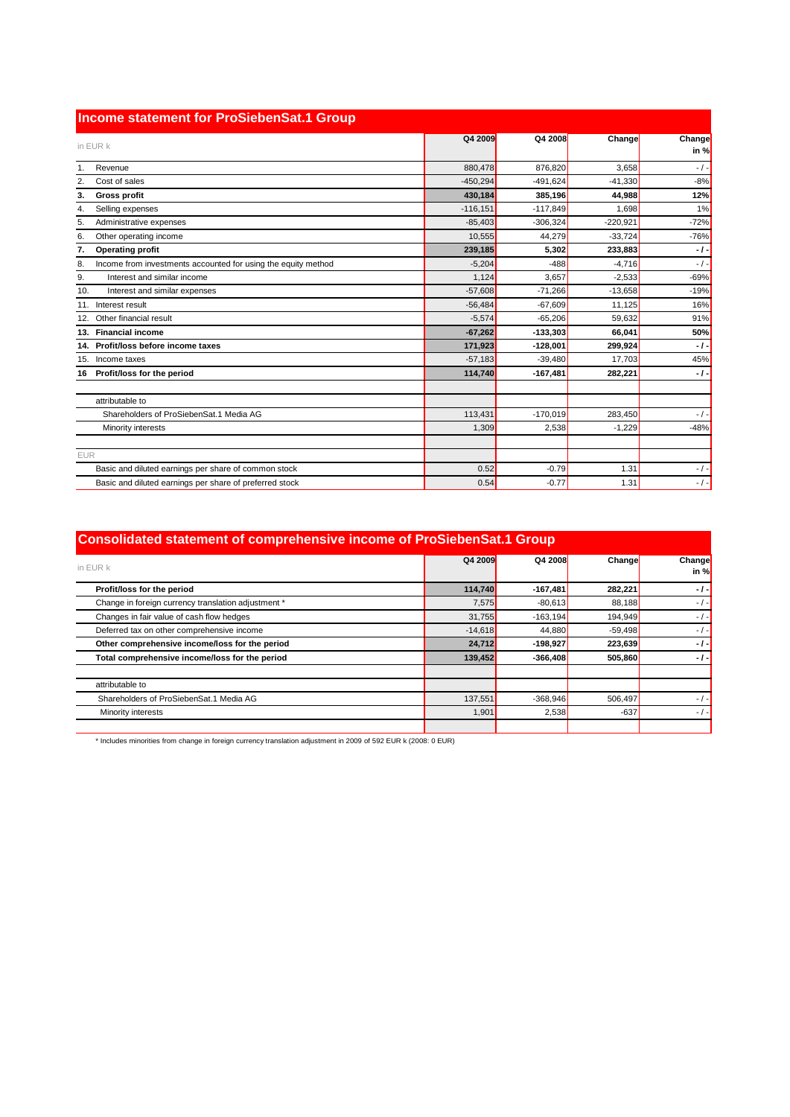| Income statement for ProSiebenSat.1 Group                           |             |            |            |                  |
|---------------------------------------------------------------------|-------------|------------|------------|------------------|
| in EUR k                                                            | Q4 2009     | Q4 2008    | Change     | Change<br>in $%$ |
| Revenue<br>1.                                                       | 880,478     | 876,820    | 3.658      | -7.              |
| Cost of sales<br>2.                                                 | $-450,294$  | $-491,624$ | $-41,330$  | $-8%$            |
| 3.<br><b>Gross profit</b>                                           | 430,184     | 385,196    | 44,988     | 12%              |
| Selling expenses<br>4.                                              | $-116, 151$ | $-117,849$ | 1.698      | 1%               |
| Administrative expenses<br>5.                                       | $-85,403$   | $-306,324$ | $-220,921$ | $-72%$           |
| 6.<br>Other operating income                                        | 10,555      | 44,279     | $-33,724$  | $-76%$           |
| <b>Operating profit</b><br>7.                                       | 239,185     | 5,302      | 233,883    | $-1$ .           |
| Income from investments accounted for using the equity method<br>8. | $-5,204$    | $-488$     | $-4.716$   | $-1$ .           |
| 9.<br>Interest and similar income                                   | 1,124       | 3,657      | $-2,533$   | $-69%$           |
| 10.<br>Interest and similar expenses                                | $-57,608$   | $-71,266$  | $-13.658$  | $-19%$           |
| 11. Interest result                                                 | $-56.484$   | $-67.609$  | 11.125     | 16%              |
| 12. Other financial result                                          | $-5,574$    | $-65,206$  | 59,632     | 91%              |
| 13. Financial income                                                | $-67,262$   | $-133,303$ | 66.041     | 50%              |
| 14. Profit/loss before income taxes                                 | 171,923     | $-128.001$ | 299.924    | $-1$ -           |
| 15. Income taxes                                                    | $-57,183$   | $-39,480$  | 17.703     | 45%              |
| 16 Profit/loss for the period                                       | 114,740     | $-167,481$ | 282,221    | $-1-$            |
| attributable to                                                     |             |            |            |                  |
| Shareholders of ProSiebenSat.1 Media AG                             | 113,431     | $-170,019$ | 283,450    |                  |
| Minority interests                                                  | 1,309       | 2,538      | $-1,229$   | $-48%$           |
| <b>EUR</b>                                                          |             |            |            |                  |
| Basic and diluted earnings per share of common stock                | 0.52        | $-0.79$    | 1.31       | $-$ / $-$        |
| Basic and diluted earnings per share of preferred stock             | 0.54        | $-0.77$    | 1.31       | $-1$ .           |

| <b>Consolidated statement of comprehensive income of ProSiebenSat.1 Group</b> |  |
|-------------------------------------------------------------------------------|--|
|                                                                               |  |

| in EUR k                                            | Q4 2009   | Q4 2008    | Change    | Change<br>in $%$ |
|-----------------------------------------------------|-----------|------------|-----------|------------------|
| Profit/loss for the period                          | 114,740   | $-167,481$ | 282,221   | -1-              |
| Change in foreign currency translation adjustment * | 7,575     | $-80,613$  | 88,188    | $-1-$            |
| Changes in fair value of cash flow hedges           | 31,755    | $-163,194$ | 194,949   | $-1-$            |
| Deferred tax on other comprehensive income          | $-14,618$ | 44,880     | $-59,498$ | - 1              |
| Other comprehensive income/loss for the period      | 24,712    | $-198,927$ | 223,639   | $-1 -$           |
| Total comprehensive income/loss for the period      | 139,452   | $-366,408$ | 505,860   | $-1$             |
| attributable to                                     |           |            |           |                  |
| Shareholders of ProSiebenSat.1 Media AG             | 137,551   | $-368,946$ | 506,497   | $-/-$            |
| Minority interests                                  | 1,901     | 2,538      | $-637$    | $-/-$            |
|                                                     |           |            |           |                  |

\* Includes minorities from change in foreign currency translation adjustment in 2009 of 592 EUR k (2008: 0 EUR)